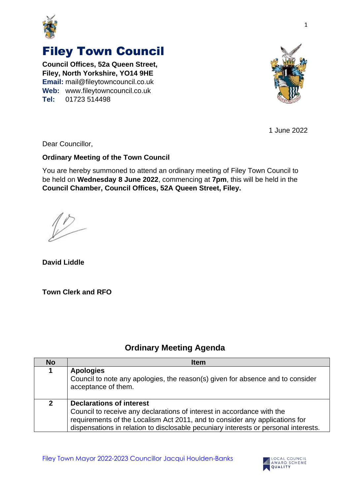

## Filey Town Council

**Council Offices, 52a Queen Street, Filey, North Yorkshire, YO14 9HE Email:** mail@fileytowncouncil.co.uk **Web:** www.fileytowncouncil.co.uk **Tel:** 01723 514498



1 June 2022

Dear Councillor,

## **Ordinary Meeting of the Town Council**

You are hereby summoned to attend an ordinary meeting of Filey Town Council to be held on **Wednesday 8 June 2022**, commencing at **7pm**, this will be held in the **Council Chamber, Council Offices, 52A Queen Street, Filey.**

**David Liddle**

**Town Clerk and RFO**

## **Ordinary Meeting Agenda**

| <b>No</b>    | <b>Item</b>                                                                                                                                                                                                                                                                     |
|--------------|---------------------------------------------------------------------------------------------------------------------------------------------------------------------------------------------------------------------------------------------------------------------------------|
| 1            | <b>Apologies</b><br>Council to note any apologies, the reason(s) given for absence and to consider<br>acceptance of them.                                                                                                                                                       |
| $\mathbf{2}$ | <b>Declarations of interest</b><br>Council to receive any declarations of interest in accordance with the<br>requirements of the Localism Act 2011, and to consider any applications for<br>dispensations in relation to disclosable pecuniary interests or personal interests. |

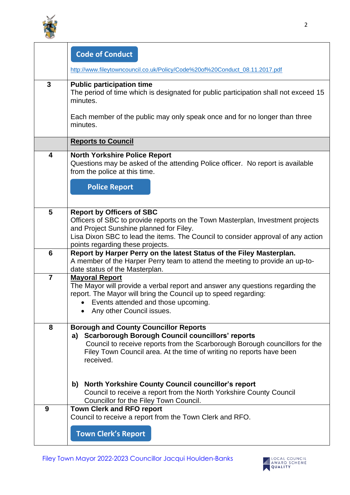

 $\mathsf{r}$ 

|                         | <b>Code of Conduct</b>                                                                                                                                                                                                                                                            |
|-------------------------|-----------------------------------------------------------------------------------------------------------------------------------------------------------------------------------------------------------------------------------------------------------------------------------|
|                         | http://www.fileytowncouncil.co.uk/Policy/Code%20of%20Conduct_08.11.2017.pdf                                                                                                                                                                                                       |
| 3                       | <b>Public participation time</b><br>The period of time which is designated for public participation shall not exceed 15<br>minutes.<br>Each member of the public may only speak once and for no longer than three                                                                 |
|                         | minutes.                                                                                                                                                                                                                                                                          |
|                         | <b>Reports to Council</b>                                                                                                                                                                                                                                                         |
| $\overline{\mathbf{4}}$ | <b>North Yorkshire Police Report</b><br>Questions may be asked of the attending Police officer. No report is available<br>from the police at this time.                                                                                                                           |
|                         | <b>Police Report</b>                                                                                                                                                                                                                                                              |
| 5                       | <b>Report by Officers of SBC</b><br>Officers of SBC to provide reports on the Town Masterplan, Investment projects<br>and Project Sunshine planned for Filey.                                                                                                                     |
|                         | Lisa Dixon SBC to lead the items. The Council to consider approval of any action<br>points regarding these projects.                                                                                                                                                              |
| 6                       | Report by Harper Perry on the latest Status of the Filey Masterplan.<br>A member of the Harper Perry team to attend the meeting to provide an up-to-<br>date status of the Masterplan.                                                                                            |
| $\overline{7}$          | <b>Mayoral Report</b><br>The Mayor will provide a verbal report and answer any questions regarding the<br>report. The Mayor will bring the Council up to speed regarding:<br>Events attended and those upcoming.<br>Any other Council issues.                                     |
| 8                       | <b>Borough and County Councillor Reports</b><br><b>Scarborough Borough Council councillors' reports</b><br>a)<br>Council to receive reports from the Scarborough Borough councillors for the<br>Filey Town Council area. At the time of writing no reports have been<br>received. |
|                         | <b>North Yorkshire County Council councillor's report</b><br>b)<br>Council to receive a report from the North Yorkshire County Council<br>Councillor for the Filey Town Council.                                                                                                  |
| 9                       | <b>Town Clerk and RFO report</b><br>Council to receive a report from the Town Clerk and RFO.                                                                                                                                                                                      |
|                         | <b>Town Clerk's Report</b>                                                                                                                                                                                                                                                        |

٦

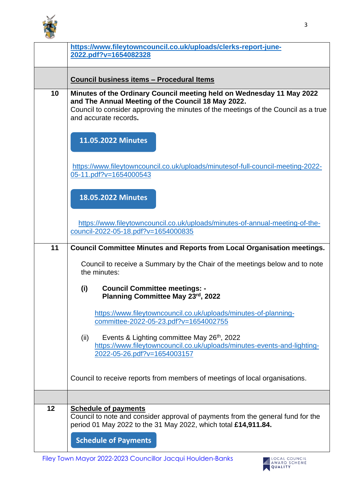

|    | https://www.fileytowncouncil.co.uk/uploads/clerks-report-june-<br>2022.pdf?v=1654082328                                                                                                                                                    |
|----|--------------------------------------------------------------------------------------------------------------------------------------------------------------------------------------------------------------------------------------------|
|    | <b>Council business items - Procedural Items</b>                                                                                                                                                                                           |
| 10 | Minutes of the Ordinary Council meeting held on Wednesday 11 May 2022<br>and The Annual Meeting of the Council 18 May 2022.<br>Council to consider approving the minutes of the meetings of the Council as a true<br>and accurate records. |
|    | 11.05.2022 Minutes                                                                                                                                                                                                                         |
|    | https://www.fileytowncouncil.co.uk/uploads/minutesof-full-council-meeting-2022-<br>05-11.pdf?v=1654000543                                                                                                                                  |
|    | <b>18.05.2022 Minutes</b>                                                                                                                                                                                                                  |
|    | https://www.fileytowncouncil.co.uk/uploads/minutes-of-annual-meeting-of-the-<br>council-2022-05-18.pdf?v=1654000835                                                                                                                        |
| 11 | <b>Council Committee Minutes and Reports from Local Organisation meetings.</b>                                                                                                                                                             |
|    | Council to receive a Summary by the Chair of the meetings below and to note<br>the minutes:                                                                                                                                                |
|    | <b>Council Committee meetings: -</b><br>(i)<br>Planning Committee May 23rd, 2022                                                                                                                                                           |
|    | https://www.fileytowncouncil.co.uk/uploads/minutes-of-planning-<br>committee-2022-05-23.pdf?v=1654002755                                                                                                                                   |
|    | Events & Lighting committee May 26 <sup>th</sup> , 2022<br>(ii)<br>https://www.fileytowncouncil.co.uk/uploads/minutes-events-and-lighting-<br>2022-05-26.pdf?v=1654003157                                                                  |
|    | Council to receive reports from members of meetings of local organisations.                                                                                                                                                                |
|    |                                                                                                                                                                                                                                            |
| 12 | <b>Schedule of payments</b><br>Council to note and consider approval of payments from the general fund for the<br>period 01 May 2022 to the 31 May 2022, which total £14,911.84.                                                           |
|    | <b>Schedule of Payments</b>                                                                                                                                                                                                                |
|    | Filey Town Mayor 2022-2023 Councillor Jacqui Houlden-Banks<br>OCAL COUNCIL<br><b>WARD SCHEME</b><br>OUALITY                                                                                                                                |